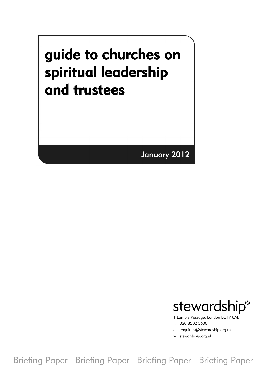# guide to churches on spiritual leadership and trustees

January 2012



1 Lamb's Passage, London EC1Y 8AB

t: 020 8502 5600

e: enquiries@stewardship.org.uk

w: stewardship.org.uk

Briefing Paper Briefing Paper Briefing Paper Briefing Paper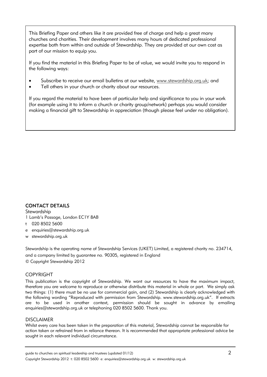This Briefing Paper and others like it are provided free of charge and help a great many churches and charities. Their development involves many hours of dedicated professional expertise both from within and outside of Stewardship. They are provided at our own cost as part of our mission to equip you.

If you find the material in this Briefing Paper to be of value, we would invite you to respond in the following ways:

- Subscribe to receive our email bulletins at our website, www.stewardship.org.uk; and
- Tell others in your church or charity about our resources.

If you regard the material to have been of particular help and significance to you in your work (for example using it to inform a church or charity group/network) perhaps you would consider making a financial gift to Stewardship in appreciation (though please feel under no obligation).

#### CONTACT DETAILS

**Stewardship** 

1 Lamb's Passage, London EC1Y 8AB

- t 020 8502 5600
- e enquiries@stewardship.org.uk
- w stewardship.org.uk

Stewardship is the operating name of Stewardship Services (UKET) Limited, a registered charity no. 234714, and a company limited by guarantee no. 90305, registered in England © Copyright Stewardship 2012

#### COPYRIGHT

This publication is the copyright of Stewardship. We want our resources to have the maximum impact, therefore you are welcome to reproduce or otherwise distribute this material in whole or part. We simply ask two things: (1) there must be no use for commercial gain, and (2) Stewardship is clearly acknowledged with the following wording "Reproduced with permission from Stewardship. www.stewardship.org.uk". If extracts are to be used in another context, permission should be sought in advance by emailing enquiries@stewardship.org.uk or telephoning 020 8502 5600. Thank you.

#### DISCLAIMER

Whilst every care has been taken in the preparation of this material, Stewardship cannot be responsible for action taken or refrained from in reliance thereon. It is recommended that appropriate professional advice be sought in each relevant individual circumstance.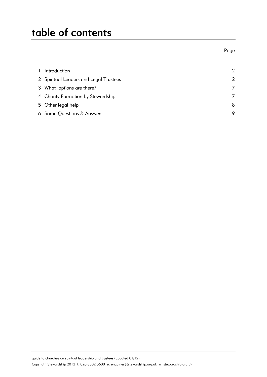# table of contents

en de la provincia de la provincia de la provincia de la provincia de la provincia de la provincia de la provi

| $\mathbf{1}$ | Introduction                           | $\mathcal{P}$ |
|--------------|----------------------------------------|---------------|
|              | 2 Spiritual Leaders and Legal Trustees | $\mathcal{P}$ |
|              | 3 What options are there?              | 7             |
|              | 4 Charity Formation by Stewardship     |               |
|              | 5 Other legal help                     | 8             |
|              | 6 Some Questions & Answers             | 9             |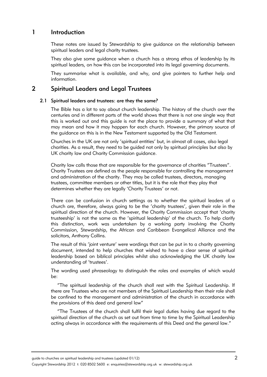### 1 Introduction

These notes are issued by Stewardship to give guidance on the relationship between spiritual leaders and legal charity trustees.

They also give some guidance when a church has a strong ethos of leadership by its spiritual leaders, on how this can be incorporated into its legal governing documents.

They summarise what is available, and why, and give pointers to further help and information.

# 2 Spiritual Leaders and Legal Trustees

#### 2.1 Spiritual leaders and trustees: are they the same?

The Bible has a lot to say about church leadership. The history of the church over the centuries and in different parts of the world shows that there is not one single way that this is worked out and this guide is not the place to provide a summary of what that may mean and how it may happen for each church. However, the primary source of the guidance on this is in the New Testament supported by the Old Testament.

Churches in the UK are not only 'spiritual entities' but, in almost all cases, also legal charities. As a result, they need to be guided not only by spiritual principles but also by UK charity law and Charity Commission guidance.

Charity law calls those that are responsible for the governance of charities "Trustees". Charity Trustees are defined as the people responsible for controlling the management and administration of the charity. They may be called trustees, directors, managing trustees, committee members or other titles, but it is the role that they play that determines whether they are legally 'Charity Trustees' or not.

There can be confusion in church settings as to whether the spiritual leaders of a church are, therefore, always going to be the 'charity trustees', given their role in the spiritual direction of the church. However, the Charity Commission accept that 'charity trusteeship' is not the same as the 'spiritual leadership' of the church. To help clarify this distinction, work was undertaken by a working party involving the Charity Commission, Stewardship, the African and Caribbean Evangelical Alliance and the solicitors, Anthony Collins.

The result of this 'joint venture' were wordings that can be put in to a charity governing document, intended to help churches that wished to have a clear sense of spiritual leadership based on biblical principles whilst also acknowledging the UK charity law understanding of 'trustees'.

The wording used phraseology to distinguish the roles and examples of which would be:

"The spiritual leadership of the church shall rest with the Spiritual Leadership. If there are Trustees who are not members of the Spiritual Leadership then their role shall be confined to the management and administration of the church in accordance with the provisions of this deed and general law"

"The Trustees of the church shall fulfil their legal duties having due regard to the spiritual direction of the church as set out from time to time by the Spiritual Leadership acting always in accordance with the requirements of this Deed and the general law."

guide to churches on spiritual leadership and trustees (updated 01/12) 2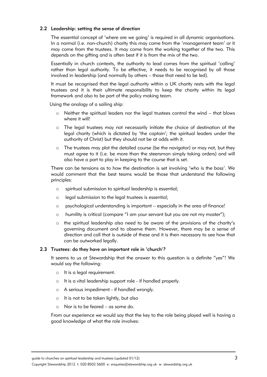#### 2.2 Leadership: setting the sense of direction

The essential concept of 'where are we going' is required in all dynamic organisations. In a normal (i.e. non-church) charity this may come from the 'management team' or it may come from the trustees. It may come from the working together of the two. This depends on the gifting and is often best if it is from the mix of the two.

Essentially in church contexts, the authority to lead comes from the spiritual 'calling' rather than legal authority. To be effective, it needs to be recognised by all those involved in leadership (and normally by others – those that need to be led).

It must be recognised that the legal authority within a UK charity rests with the legal trustees and it is their ultimate responsibility to keep the charity within its legal framework and also to be part of the policy making team.

Using the analogy of a sailing ship:

- $\circ$  Neither the spiritual leaders nor the legal trustees control the wind that blows where it will!
- o The legal trustees may not necessarily initiate the choice of destination of the legal charity (which is dictated by 'the captain'; the spiritual leaders under the authority of Christ) but they should not be at odds with it.
- o The trustees may plot the detailed course (be the navigator) or may not, but they must agree to it (i.e. be more than the steersman simply taking orders) and will also have a part to play in keeping to the course that is set.

There can be tensions as to how the destination is set involving 'who is the boss'. We would comment that the best teams would be those that understand the following principles:

- o spiritual submission to spiritual leadership is essential;
- o legal submission to the legal trustees is essential;
- o psychological understanding is important especially in the area of finance!
- o humility is critical (compare "I am your servant but you are not my master");
- o the spiritual leadership also need to be aware of the provisions of the charity's governing document and to observe them. However, there may be a sense of direction and call that is outside of these and it is then necessary to see how that can be outworked legally.

#### 2.3 Trustees: do they have an important role in 'church'?

It seems to us at Stewardship that the answer to this question is a definite "yes"! We would say the following:

- o It is a legal requirement.
- o It is a vital leadership support role if handled properly.
- o A serious impediment if handled wrongly.
- o It is not to be taken lightly, but also
- o Nor is to be feared as some do.

From our experience we would say that the key to the role being played well is having a good knowledge of what the role involves: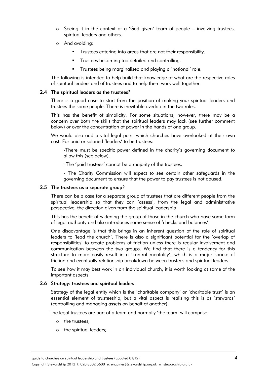- $\circ$  Seeing it in the context of a 'God given' team of people involving trustees, spiritual leaders and others.
- o And avoiding:
	- Trustees entering into areas that are not their responsibility.
	- **•** Trustees becoming too detailed and controlling.
	- **•** Trustees being marginalised and playing a 'notional' role.

The following is intended to help build that knowledge of what are the respective roles of spiritual leaders and of trustees and to help them work well together.

#### 2.4 The spiritual leaders as the trustees?

There is a good case to start from the position of making your spiritual leaders and trustees the same people. There is inevitable overlap in the two roles.

This has the benefit of simplicity. For some situations, however, there may be a concern over both the skills that the spiritual leaders may lack (see further comment below) or over the concentration of power in the hands of one group.

We would also add a vital legal point which churches have overlooked at their own cost. For paid or salaried 'leaders' to be trustees:

 -There must be specific power defined in the charity's governing document to allow this (see below).

-The 'paid trustees' cannot be a majority of the trustees.

- The Charity Commission will expect to see certain other safeguards in the governing document to ensure that the power to pay trustees is not abused.

#### 2.5 The trustees as a separate group?

There can be a case for a separate group of trustees that are different people from the spiritual leadership so that they can 'assess', from the legal and administrative perspective, the direction given from the spiritual leadership.

This has the benefit of widening the group of those in the church who have some form of legal authority and also introduces some sense of 'checks and balances'.

One disadvantage is that this brings in an inherent question of the role of spiritual leaders to 'lead the church'. There is also a significant potential for the 'overlap of responsibilities' to create problems of friction unless there is regular involvement and communication between the two groups. We find that there is a tendency for this structure to more easily result in a 'control mentality', which is a major source of friction and eventually relationship breakdown between trustees and spiritual leaders.

To see how it may best work in an individual church, it is worth looking at some of the important aspects.

#### 2.6 Strategy: trustees and spiritual leaders.

Strategy of the legal entity which is the 'charitable company' or 'charitable trust' is an essential element of trusteeship, but a vital aspect is realising this is as 'stewards' (controlling and managing assets on behalf of another).

The legal trustees are part of a team and normally 'the team' will comprise:

- o the trustees;
- o the spiritual leaders;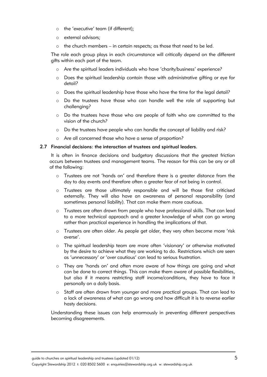- o the 'executive' team (if different);
- o external advisors;
- o the church members in certain respects; as those that need to be led.

The role each group plays in each circumstance will critically depend on the different gifts within each part of the team.

- o Are the spiritual leaders individuals who have 'charity/business' experience?
- o Does the spiritual leadership contain those with administrative gifting or eye for detail?
- o Does the spiritual leadership have those who have the time for the legal detail?
- o Do the trustees have those who can handle well the role of supporting but challenging?
- o Do the trustees have those who are people of faith who are committed to the vision of the church?
- o Do the trustees have people who can handle the concept of liability and risk?
- o Are all concerned those who have a sense of proportion?

#### 2.7 Financial decisions: the interaction of trustees and spiritual leaders.

 It is often in finance decisions and budgetary discussions that the greatest friction occurs between trustees and management teams. The reason for this can be any or all of the following:

- o Trustees are not 'hands on' and therefore there is a greater distance from the day to day events and therefore often a greater fear of not being in control.
- o Trustees are those ultimately responsible and will be those first criticised externally. They will also have an awareness of personal responsibility (and sometimes personal liability). That can make them more cautious.
- o Trustees are often drawn from people who have professional skills. That can lead to a more technical approach and a greater knowledge of what can go wrong rather than practical experience in handling the implications of that.
- o Trustees are often older. As people get older, they very often become more 'risk averse'.
- o The spiritual leadership team are more often 'visionary' or otherwise motivated by the desire to achieve what they are working to do. Restrictions which are seen as 'unnecessary' or 'over cautious' can lead to serious frustration.
- o They are 'hands on' and often more aware of how things are going and what can be done to correct things. This can make them aware of possible flexibilities, but also if it means restricting staff income/conditions, they have to face it personally on a daily basis.
- o Staff are often drawn from younger and more practical groups. That can lead to a lack of awareness of what can go wrong and how difficult it is to reverse earlier hasty decisions.

Understanding these issues can help enormously in preventing different perspectives becoming disagreements.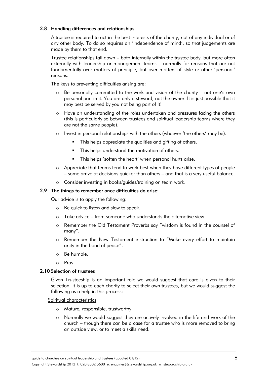#### 2.8 Handling differences and relationships

A trustee is required to act in the best interests of the charity, not of any individual or of any other body. To do so requires an 'independence of mind', so that judgements are made by them to that end.

Trustee relationships fall down – both internally within the trustee body, but more often externally with leadership or management teams – normally for reasons that are not fundamentally over matters of principle, but over matters of style or other 'personal' reasons.

The keys to preventing difficulties arising are:

- o Be personally committed to the work and vision of the charity not one's own personal part in it. You are only a steward, not the owner. It is just possible that it may best be served by you not being part of it!
- o Have an understanding of the roles undertaken and pressures facing the others (this is particularly so between trustees and spiritual leadership teams where they are not the same people).
- $\circ$  Invest in personal relationships with the others (whoever 'the others' may be).
	- **•** This helps appreciate the qualities and gifting of others.
	- **•** This helps understand the motivation of others.
	- **•** This helps 'soften the heart' when personal hurts arise.
- o Appreciate that teams tend to work best when they have different types of people – some arrive at decisions quicker than others – and that is a very useful balance.
- o Consider investing in books/guides/training on team work.

#### 2.9 The things to remember once difficulties do arise:

Our advice is to apply the following:

- o Be quick to listen and slow to speak.
- o Take advice from someone who understands the alternative view.
- o Remember the Old Testament Proverbs say "wisdom is found in the counsel of many".
- o Remember the New Testament instruction to "Make every effort to maintain unity in the bond of peace".
- o Be humble.
- o Pray!

#### 2.10 Selection of trustees

Given Trusteeship is an important role we would suggest that care is given to their selection. It is up to each charity to select their own trustees, but we would suggest the following as a help in this process:

#### Spiritual characteristics

- o Mature, responsible, trustworthy.
- o Normally we would suggest they are actively involved in the life and work of the church – though there can be a case for a trustee who is more removed to bring an outside view, or to meet a skills need.